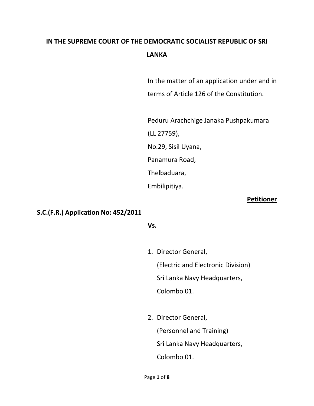# **IN THE SUPREME COURT OF THE DEMOCRATIC SOCIALIST REPUBLIC OF SRI LANKA**

In the matter of an application under and in terms of Article 126 of the Constitution.

Peduru Arachchige Janaka Pushpakumara (LL 27759), No.29, Sisil Uyana, Panamura Road, Thelbaduara,

#### **Petitioner**

### **S.C.(F.R.) Application No: 452/2011**

#### **Vs.**

Embilipitiya.

- 1. Director General, (Electric and Electronic Division) Sri Lanka Navy Headquarters, Colombo 01.
- 2. Director General, (Personnel and Training) Sri Lanka Navy Headquarters, Colombo 01.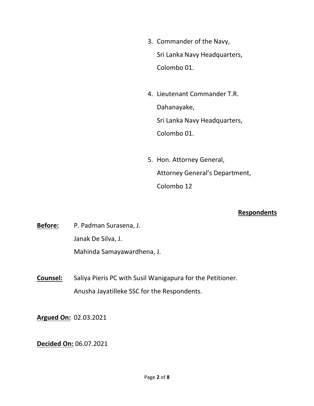- 3. Commander of the Navy, Sri Lanka Navy Headquarters, Colombo 01.
- 4. Lieutenant Commander T.R. Dahanayake, Sri Lanka Navy Headquarters, Colombo 01.
- 5. Hon. Attorney General, Attorney General's Department, Colombo 12

#### **Respondents**

**Before:** P. Padman Surasena, J. Janak De Silva, J. Mahinda Samayawardhena, J.

**Counsel:** Saliya Pieris PC with Susil Wanigapura for the Petitioner. Anusha Jayatilleke SSC for the Respondents.

**Argued On:** 02.03.2021

**Decided On:** 06.07.2021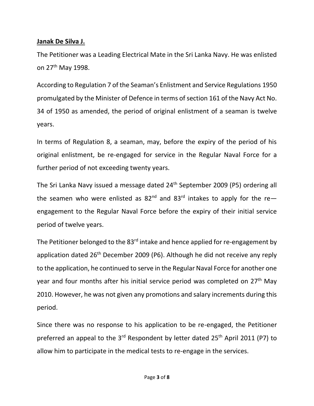#### **Janak De Silva J.**

The Petitioner was a Leading Electrical Mate in the Sri Lanka Navy. He was enlisted on 27th May 1998.

According to Regulation 7 of the Seaman's Enlistment and Service Regulations 1950 promulgated by the Minister of Defence in terms of section 161 of the Navy Act No. 34 of 1950 as amended, the period of original enlistment of a seaman is twelve years.

In terms of Regulation 8, a seaman, may, before the expiry of the period of his original enlistment, be re-engaged for service in the Regular Naval Force for a further period of not exceeding twenty years.

The Sri Lanka Navy issued a message dated 24<sup>th</sup> September 2009 (P5) ordering all the seamen who were enlisted as  $82^{nd}$  and  $83^{rd}$  intakes to apply for the reengagement to the Regular Naval Force before the expiry of their initial service period of twelve years.

The Petitioner belonged to the 83<sup>rd</sup> intake and hence applied for re-engagement by application dated  $26<sup>th</sup>$  December 2009 (P6). Although he did not receive any reply to the application, he continued to serve in the Regular Naval Force for another one year and four months after his initial service period was completed on 27<sup>th</sup> May 2010. However, he was not given any promotions and salary increments during this period.

Since there was no response to his application to be re-engaged, the Petitioner preferred an appeal to the 3<sup>rd</sup> Respondent by letter dated 25<sup>th</sup> April 2011 (P7) to allow him to participate in the medical tests to re-engage in the services.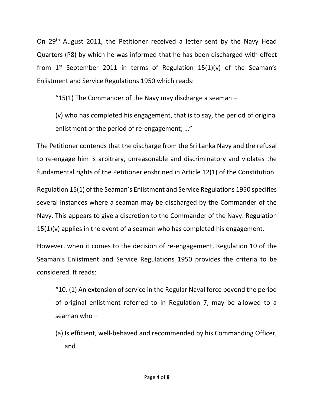On 29<sup>th</sup> August 2011, the Petitioner received a letter sent by the Navy Head Quarters (P8) by which he was informed that he has been discharged with effect from  $1<sup>st</sup>$  September 2011 in terms of Regulation 15(1)(v) of the Seaman's Enlistment and Service Regulations 1950 which reads:

"15(1) The Commander of the Navy may discharge a seaman  $-$ 

(v) who has completed his engagement, that is to say, the period of original enlistment or the period of re-engagement; …"

The Petitioner contends that the discharge from the Sri Lanka Navy and the refusal to re-engage him is arbitrary, unreasonable and discriminatory and violates the fundamental rights of the Petitioner enshrined in Article 12(1) of the Constitution.

Regulation 15(1) of the Seaman's Enlistment and Service Regulations 1950 specifies several instances where a seaman may be discharged by the Commander of the Navy. This appears to give a discretion to the Commander of the Navy. Regulation  $15(1)(v)$  applies in the event of a seaman who has completed his engagement.

However, when it comes to the decision of re-engagement, Regulation 10 of the Seaman's Enlistment and Service Regulations 1950 provides the criteria to be considered. It reads:

"10. (1) An extension of service in the Regular Naval force beyond the period of original enlistment referred to in Regulation 7, may be allowed to a seaman who –

(a) Is efficient, well-behaved and recommended by his Commanding Officer, and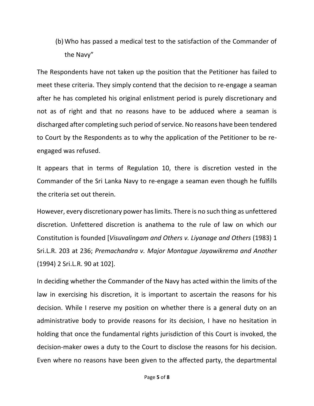(b) Who has passed a medical test to the satisfaction of the Commander of the Navy"

The Respondents have not taken up the position that the Petitioner has failed to meet these criteria. They simply contend that the decision to re-engage a seaman after he has completed his original enlistment period is purely discretionary and not as of right and that no reasons have to be adduced where a seaman is discharged after completing such period of service. No reasons have been tendered to Court by the Respondents as to why the application of the Petitioner to be reengaged was refused.

It appears that in terms of Regulation 10, there is discretion vested in the Commander of the Sri Lanka Navy to re-engage a seaman even though he fulfills the criteria set out therein.

However, every discretionary power has limits. There is no such thing as unfettered discretion. Unfettered discretion is anathema to the rule of law on which our Constitution is founded [*Visuvalingam and Others v. Liyanage and Others* (1983) 1 Sri.L.R. 203 at 236; *Premachandra v. Major Montague Jayawikrema and Another* (1994) 2 Sri.L.R. 90 at 102].

In deciding whether the Commander of the Navy has acted within the limits of the law in exercising his discretion, it is important to ascertain the reasons for his decision. While I reserve my position on whether there is a general duty on an administrative body to provide reasons for its decision, I have no hesitation in holding that once the fundamental rights jurisdiction of this Court is invoked, the decision-maker owes a duty to the Court to disclose the reasons for his decision. Even where no reasons have been given to the affected party, the departmental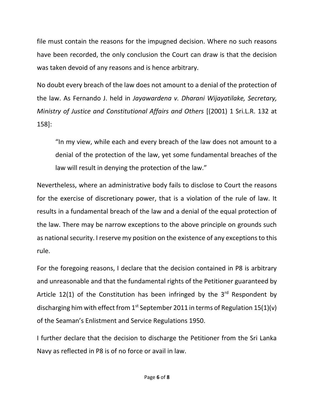file must contain the reasons for the impugned decision. Where no such reasons have been recorded, the only conclusion the Court can draw is that the decision was taken devoid of any reasons and is hence arbitrary.

No doubt every breach of the law does not amount to a denial of the protection of the law. As Fernando J. held in *Jayawardena v. Dharani Wijayatilake, Secretary, Ministry of Justice and Constitutional Affairs and Others* [(2001) 1 Sri.L.R. 132 at 158]:

"In my view, while each and every breach of the law does not amount to a denial of the protection of the law, yet some fundamental breaches of the law will result in denying the protection of the law."

Nevertheless, where an administrative body fails to disclose to Court the reasons for the exercise of discretionary power, that is a violation of the rule of law. It results in a fundamental breach of the law and a denial of the equal protection of the law. There may be narrow exceptions to the above principle on grounds such as national security. I reserve my position on the existence of any exceptions to this rule.

For the foregoing reasons, I declare that the decision contained in P8 is arbitrary and unreasonable and that the fundamental rights of the Petitioner guaranteed by Article 12(1) of the Constitution has been infringed by the  $3^{rd}$  Respondent by discharging him with effect from 1<sup>st</sup> September 2011 in terms of Regulation 15(1)(v) of the Seaman's Enlistment and Service Regulations 1950.

I further declare that the decision to discharge the Petitioner from the Sri Lanka Navy as reflected in P8 is of no force or avail in law.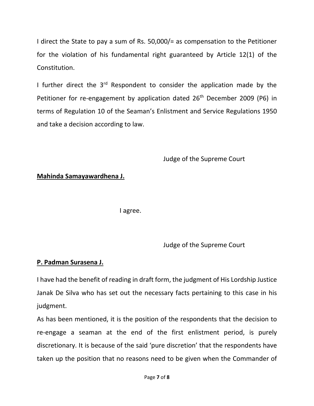I direct the State to pay a sum of Rs. 50,000/= as compensation to the Petitioner for the violation of his fundamental right guaranteed by Article 12(1) of the Constitution.

I further direct the  $3<sup>rd</sup>$  Respondent to consider the application made by the Petitioner for re-engagement by application dated  $26<sup>th</sup>$  December 2009 (P6) in terms of Regulation 10 of the Seaman's Enlistment and Service Regulations 1950 and take a decision according to law.

Judge of the Supreme Court

## **Mahinda Samayawardhena J.**

I agree.

Judge of the Supreme Court

#### **P. Padman Surasena J.**

I have had the benefit of reading in draft form, the judgment of His Lordship Justice Janak De Silva who has set out the necessary facts pertaining to this case in his judgment.

As has been mentioned, it is the position of the respondents that the decision to re-engage a seaman at the end of the first enlistment period, is purely discretionary. It is because of the said 'pure discretion' that the respondents have taken up the position that no reasons need to be given when the Commander of